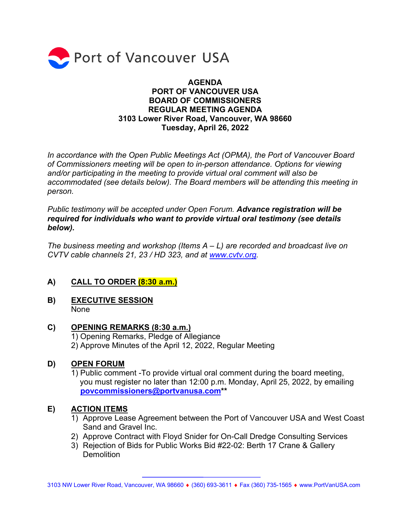

#### **AGENDA PORT OF VANCOUVER USA BOARD OF COMMISSIONERS REGULAR MEETING AGENDA 3103 Lower River Road, Vancouver, WA 98660 Tuesday, April 26, 2022**

*In accordance with the Open Public Meetings Act (OPMA), the Port of Vancouver Board of Commissioners meeting will be open to in-person attendance. Options for viewing and/or participating in the meeting to provide virtual oral comment will also be accommodated (see details below). The Board members will be attending this meeting in person.*

*Public testimony will be accepted under Open Forum. Advance registration will be required for individuals who want to provide virtual oral testimony (see details below).* 

*The business meeting and workshop (Items A – L) are recorded and broadcast live on CVTV cable channels 21, 23 / HD 323, and at [www.cvtv.org.](http://www.cvtv.org/)* 

### **A) CALL TO ORDER (8:30 a.m.)**

**B) EXECUTIVE SESSION** None

#### **C) OPENING REMARKS (8:30 a.m.)**

1) Opening Remarks, Pledge of Allegiance 2) Approve Minutes of the April 12, 2022, Regular Meeting

#### **D) OPEN FORUM**

1) Public comment -To provide virtual oral comment during the board meeting, you must register no later than 12:00 p.m. Monday, April 25, 2022, by emailing **[povcommissioners@portvanusa.com\\*](mailto:povcommissioners@portvanusa.com)\*** 

### **E) ACTION ITEMS**

- 1) Approve Lease Agreement between the Port of Vancouver USA and West Coast Sand and Gravel Inc.
- 2) Approve Contract with Floyd Snider for On-Call Dredge Consulting Services
- 3) Rejection of Bids for Public Works Bid #22-02: Berth 17 Crane & Gallery **Demolition**

3103 NW Lower River Road, Vancouver, WA 98660 ♦ (360) 693-3611 ♦ Fax (360) 735-1565 ♦ www.PortVanUSA.com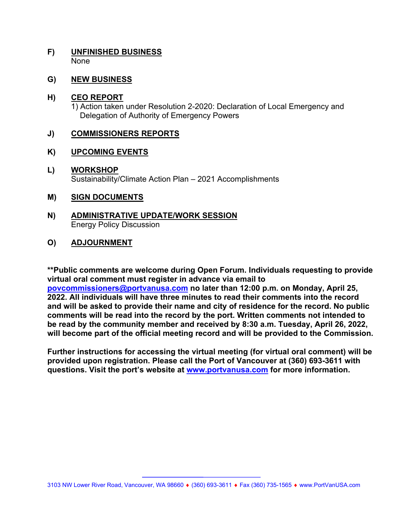#### **F) UNFINISHED BUSINESS** None

#### **G) NEW BUSINESS**

#### **H) CEO REPORT**

1) Action taken under Resolution 2-2020: Declaration of Local Emergency and Delegation of Authority of Emergency Powers

#### **J) COMMISSIONERS REPORTS**

#### **K) UPCOMING EVENTS**

**L) WORKSHOP** Sustainability/Climate Action Plan – 2021 Accomplishments

#### **M) SIGN DOCUMENTS**

### **N) ADMINISTRATIVE UPDATE/WORK SESSION** Energy Policy Discussion

### **O) ADJOURNMENT**

**\*\*Public comments are welcome during Open Forum. Individuals requesting to provide virtual oral comment must register in advance via email to [povcommissioners@portvanusa.com](mailto:povcommissioners@portvanusa.com) no later than 12:00 p.m. on Monday, April 25, 2022. All individuals will have three minutes to read their comments into the record and will be asked to provide their name and city of residence for the record. No public comments will be read into the record by the port. Written comments not intended to be read by the community member and received by 8:30 a.m. Tuesday, April 26, 2022, will become part of the official meeting record and will be provided to the Commission.**

**Further instructions for accessing the virtual meeting (for virtual oral comment) will be provided upon registration. Please call the Port of Vancouver at (360) 693-3611 with questions. Visit the port's website at [www.portvanusa.com](http://www.portvanusa.com/) for more information.**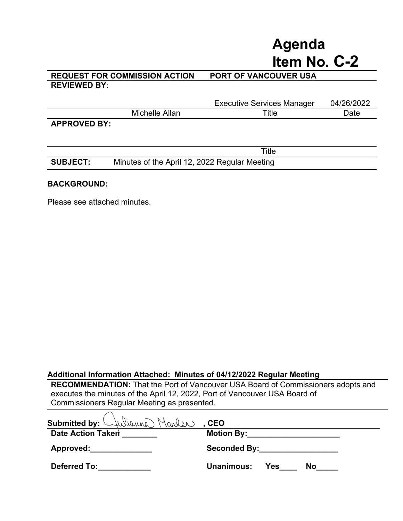# **Agenda Item No. C-2**<br>PORT OF VANCOUVER USA

#### **REQUEST FOR COMMISSION ACTION REVIEWED BY**:

**SUBJECT:** Minutes of the April 12, 2022 Regular Meeting

|                     |                | <b>Executive Services Manager</b> | 04/26/2022 |
|---------------------|----------------|-----------------------------------|------------|
|                     | Michelle Allan | Title                             | Date       |
| <b>APPROVED BY:</b> |                |                                   |            |
|                     |                | Title                             |            |

#### **BACKGROUND:**

Please see attached minutes.

**Additional Information Attached: Minutes of 04/12/2022 Regular Meeting**

**RECOMMENDATION:** That the Port of Vancouver USA Board of Commissioners adopts and executes the minutes of the April 12, 2022, Port of Vancouver USA Board of Commissioners Regular Meeting as presented.

| Submitted by: Wellewing Marlew, CEO                          |                                                                                                                                                                                                                                |
|--------------------------------------------------------------|--------------------------------------------------------------------------------------------------------------------------------------------------------------------------------------------------------------------------------|
| Date Action Taken<br>and the state of the state of the state | Motion By: 2008 2010 2010 2021 2022 2022 2023 2024 2022 2022 2023 2024 2022 2023 2024 2022 2023 2024 2025 2026                                                                                                                 |
| Approved: Approved:                                          | Seconded By: the control of the second state of the second state of the second state of the second state of the second state of the second state of the second state of the second state of the second state of the second sta |
| <b>Deferred To:</b>                                          | <b>Unanimous:</b><br>Yes<br><b>No</b>                                                                                                                                                                                          |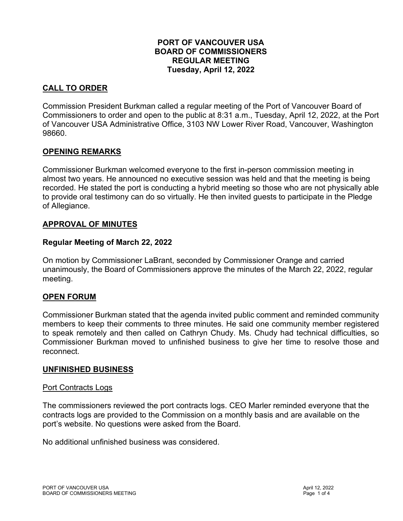#### **PORT OF VANCOUVER USA BOARD OF COMMISSIONERS REGULAR MEETING Tuesday, April 12, 2022**

### **CALL TO ORDER**

Commission President Burkman called a regular meeting of the Port of Vancouver Board of Commissioners to order and open to the public at 8:31 a.m., Tuesday, April 12, 2022, at the Port of Vancouver USA Administrative Office, 3103 NW Lower River Road, Vancouver, Washington 98660.

#### **OPENING REMARKS**

Commissioner Burkman welcomed everyone to the first in-person commission meeting in almost two years. He announced no executive session was held and that the meeting is being recorded. He stated the port is conducting a hybrid meeting so those who are not physically able to provide oral testimony can do so virtually. He then invited guests to participate in the Pledge of Allegiance.

#### **APPROVAL OF MINUTES**

#### **Regular Meeting of March 22, 2022**

On motion by Commissioner LaBrant, seconded by Commissioner Orange and carried unanimously, the Board of Commissioners approve the minutes of the March 22, 2022, regular meeting.

#### **OPEN FORUM**

Commissioner Burkman stated that the agenda invited public comment and reminded community members to keep their comments to three minutes. He said one community member registered to speak remotely and then called on Cathryn Chudy. Ms. Chudy had technical difficulties, so Commissioner Burkman moved to unfinished business to give her time to resolve those and reconnect.

#### **UNFINISHED BUSINESS**

#### Port Contracts Logs

The commissioners reviewed the port contracts logs. CEO Marler reminded everyone that the contracts logs are provided to the Commission on a monthly basis and are available on the port's website. No questions were asked from the Board.

No additional unfinished business was considered.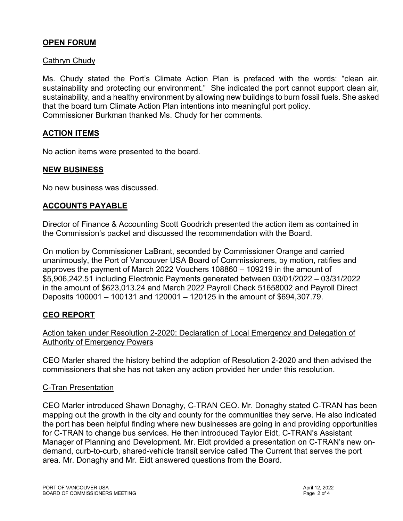#### **OPEN FORUM**

#### Cathryn Chudy

Ms. Chudy stated the Port's Climate Action Plan is prefaced with the words: "clean air, sustainability and protecting our environment." She indicated the port cannot support clean air, sustainability, and a healthy environment by allowing new buildings to burn fossil fuels. She asked that the board turn Climate Action Plan intentions into meaningful port policy. Commissioner Burkman thanked Ms. Chudy for her comments.

#### **ACTION ITEMS**

No action items were presented to the board.

#### **NEW BUSINESS**

No new business was discussed.

#### **ACCOUNTS PAYABLE**

Director of Finance & Accounting Scott Goodrich presented the action item as contained in the Commission's packet and discussed the recommendation with the Board.

On motion by Commissioner LaBrant, seconded by Commissioner Orange and carried unanimously, the Port of Vancouver USA Board of Commissioners, by motion, ratifies and approves the payment of March 2022 Vouchers 108860 – 109219 in the amount of \$5,906,242.51 including Electronic Payments generated between 03/01/2022 – 03/31/2022 in the amount of \$623,013.24 and March 2022 Payroll Check 51658002 and Payroll Direct Deposits 100001 – 100131 and 120001 – 120125 in the amount of \$694,307.79.

#### **CEO REPORT**

#### Action taken under Resolution 2-2020: Declaration of Local Emergency and Delegation of Authority of Emergency Powers

CEO Marler shared the history behind the adoption of Resolution 2-2020 and then advised the commissioners that she has not taken any action provided her under this resolution.

#### C-Tran Presentation

CEO Marler introduced Shawn Donaghy, C-TRAN CEO. Mr. Donaghy stated C-TRAN has been mapping out the growth in the city and county for the communities they serve. He also indicated the port has been helpful finding where new businesses are going in and providing opportunities for C-TRAN to change bus services. He then introduced Taylor Eidt, C-TRAN's Assistant Manager of Planning and Development. Mr. Eidt provided a presentation on C-TRAN's new ondemand, curb-to-curb, shared-vehicle transit service called The Current that serves the port area. Mr. Donaghy and Mr. Eidt answered questions from the Board.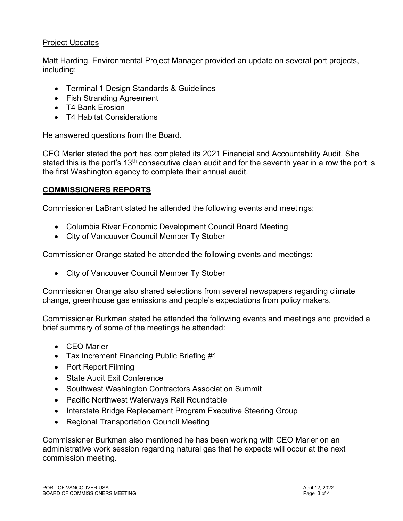#### Project Updates

Matt Harding, Environmental Project Manager provided an update on several port projects, including:

- Terminal 1 Design Standards & Guidelines
- Fish Stranding Agreement
- T4 Bank Erosion
- T4 Habitat Considerations

He answered questions from the Board.

CEO Marler stated the port has completed its 2021 Financial and Accountability Audit. She stated this is the port's  $13<sup>th</sup>$  consecutive clean audit and for the seventh year in a row the port is the first Washington agency to complete their annual audit.

### **COMMISSIONERS REPORTS**

Commissioner LaBrant stated he attended the following events and meetings:

- Columbia River Economic Development Council Board Meeting
- City of Vancouver Council Member Ty Stober

Commissioner Orange stated he attended the following events and meetings:

• City of Vancouver Council Member Ty Stober

Commissioner Orange also shared selections from several newspapers regarding climate change, greenhouse gas emissions and people's expectations from policy makers.

Commissioner Burkman stated he attended the following events and meetings and provided a brief summary of some of the meetings he attended:

- CEO Marler
- Tax Increment Financing Public Briefing #1
- Port Report Filming
- State Audit Exit Conference
- Southwest Washington Contractors Association Summit
- Pacific Northwest Waterways Rail Roundtable
- Interstate Bridge Replacement Program Executive Steering Group
- Regional Transportation Council Meeting

Commissioner Burkman also mentioned he has been working with CEO Marler on an administrative work session regarding natural gas that he expects will occur at the next commission meeting.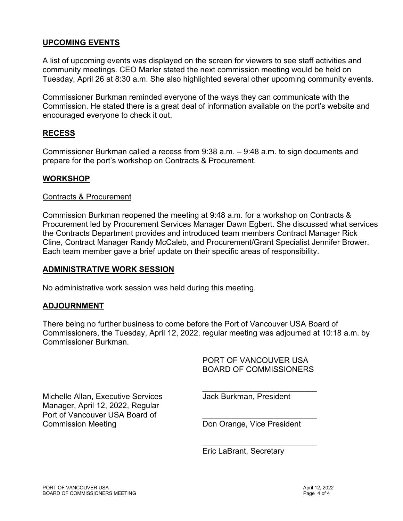#### **UPCOMING EVENTS**

A list of upcoming events was displayed on the screen for viewers to see staff activities and community meetings. CEO Marler stated the next commission meeting would be held on Tuesday, April 26 at 8:30 a.m. She also highlighted several other upcoming community events.

Commissioner Burkman reminded everyone of the ways they can communicate with the Commission. He stated there is a great deal of information available on the port's website and encouraged everyone to check it out.

#### **RECESS**

Commissioner Burkman called a recess from 9:38 a.m. – 9:48 a.m. to sign documents and prepare for the port's workshop on Contracts & Procurement.

#### **WORKSHOP**

#### Contracts & Procurement

Commission Burkman reopened the meeting at 9:48 a.m. for a workshop on Contracts & Procurement led by Procurement Services Manager Dawn Egbert. She discussed what services the Contracts Department provides and introduced team members Contract Manager Rick Cline, Contract Manager Randy McCaleb, and Procurement/Grant Specialist Jennifer Brower. Each team member gave a brief update on their specific areas of responsibility.

#### **ADMINISTRATIVE WORK SESSION**

No administrative work session was held during this meeting.

#### **ADJOURNMENT**

There being no further business to come before the Port of Vancouver USA Board of Commissioners, the Tuesday, April 12, 2022, regular meeting was adjourned at 10:18 a.m. by Commissioner Burkman.

> PORT OF VANCOUVER USA BOARD OF COMMISSIONERS

Michelle Allan, Executive Services **Jack Burkman, President** Manager, April 12, 2022, Regular Port of Vancouver USA Board of Commission Meeting **Don Orange**, Vice President

\_\_\_\_\_\_\_\_\_\_\_\_\_\_\_\_\_\_\_\_\_\_\_\_\_\_

\_\_\_\_\_\_\_\_\_\_\_\_\_\_\_\_\_\_\_\_\_\_\_\_\_\_

Eric LaBrant, Secretary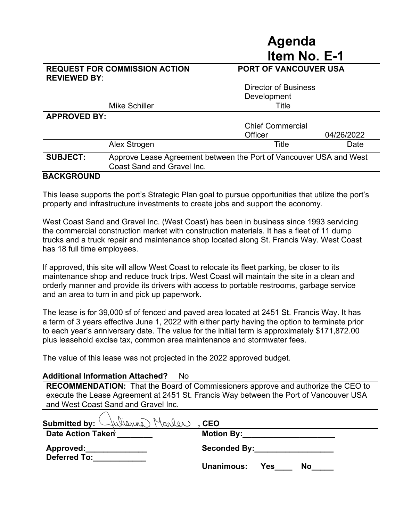## **REQUEST FOR COMMISSION ACTION REVIEWED BY**:

# **Agenda Item No. E-1**<br>**PORT OF VANCOUVER USA**

|                     |                                                                                                         | <b>Director of Business</b> |            |
|---------------------|---------------------------------------------------------------------------------------------------------|-----------------------------|------------|
|                     |                                                                                                         | Development                 |            |
|                     | Mike Schiller                                                                                           | Title                       |            |
| <b>APPROVED BY:</b> |                                                                                                         |                             |            |
|                     |                                                                                                         | <b>Chief Commercial</b>     |            |
|                     |                                                                                                         | <b>Officer</b>              | 04/26/2022 |
|                     | Alex Strogen                                                                                            | Title                       | Date       |
| <b>SUBJECT:</b>     | Approve Lease Agreement between the Port of Vancouver USA and West<br><b>Coast Sand and Gravel Inc.</b> |                             |            |

#### **BACKGROUND**

This lease supports the port's Strategic Plan goal to pursue opportunities that utilize the port's property and infrastructure investments to create jobs and support the economy.

West Coast Sand and Gravel Inc. (West Coast) has been in business since 1993 servicing the commercial construction market with construction materials. It has a fleet of 11 dump trucks and a truck repair and maintenance shop located along St. Francis Way. West Coast has 18 full time employees.

If approved, this site will allow West Coast to relocate its fleet parking, be closer to its maintenance shop and reduce truck trips. West Coast will maintain the site in a clean and orderly manner and provide its drivers with access to portable restrooms, garbage service and an area to turn in and pick up paperwork.

The lease is for 39,000 sf of fenced and paved area located at 2451 St. Francis Way. It has a term of 3 years effective June 1, 2022 with either party having the option to terminate prior to each year's anniversary date. The value for the initial term is approximately \$171,872.00 plus leasehold excise tax, common area maintenance and stormwater fees.

The value of this lease was not projected in the 2022 approved budget.

#### **Additional Information Attached?** No

**RECOMMENDATION:** That the Board of Commissioners approve and authorize the CEO to execute the Lease Agreement at 2451 St. Francis Way between the Port of Vancouver USA and West Coast Sand and Gravel Inc.

| Submitted by: Wewna Marler, CEO                 |                                                                                                                                                                                                                                |
|-------------------------------------------------|--------------------------------------------------------------------------------------------------------------------------------------------------------------------------------------------------------------------------------|
| Date Action Taken                               | Motion By: the control of the control of the control of the control of the control of the control of the control of the control of the control of the control of the control of the control of the control of the control of t |
| Approved: ______________<br><b>Deferred To:</b> | Seconded By: The Seconded By:                                                                                                                                                                                                  |
|                                                 | Unanimous:<br>Yes<br><b>No</b>                                                                                                                                                                                                 |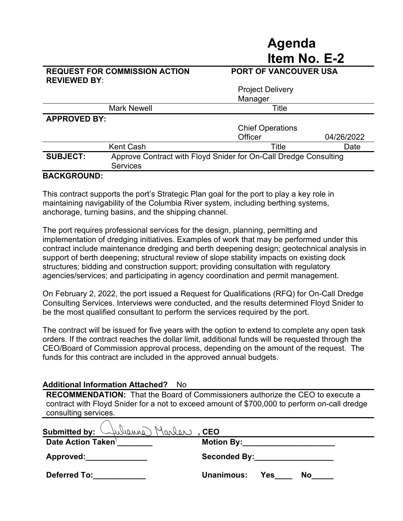## **Agenda Item No. E-2**<br>**PORT OF VANCOUVER USA**

#### **REQUEST FOR COMMISSION ACTION REVIEWED BY**:

|                     |                                                                  | <b>Project Delivery</b> |            |
|---------------------|------------------------------------------------------------------|-------------------------|------------|
|                     |                                                                  | Manager                 |            |
|                     | <b>Mark Newell</b>                                               | Title                   |            |
| <b>APPROVED BY:</b> |                                                                  |                         |            |
|                     |                                                                  | <b>Chief Operations</b> |            |
|                     |                                                                  | Officer                 | 04/26/2022 |
|                     | <b>Kent Cash</b>                                                 | Title                   | Date       |
| <b>SUBJECT:</b>     | Approve Contract with Floyd Snider for On-Call Dredge Consulting |                         |            |
|                     | <b>Services</b>                                                  |                         |            |

#### **BACKGROUND:**

This contract supports the port's Strategic Plan goal for the port to play a key role in maintaining navigability of the Columbia River system, including berthing systems, anchorage, turning basins, and the shipping channel.

The port requires professional services for the design, planning, permitting and implementation of dredging initiatives. Examples of work that may be performed under this contract include maintenance dredging and berth deepening design; geotechnical analysis in support of berth deepening; structural review of slope stability impacts on existing dock structures; bidding and construction support; providing consultation with regulatory agencies/services; and participating in agency coordination and permit management.

On February 2, 2022, the port issued a Request for Qualifications (RFQ) for On-Call Dredge Consulting Services. Interviews were conducted, and the results determined Floyd Snider to be the most qualified consultant to perform the services required by the port.

The contract will be issued for five years with the option to extend to complete any open task orders. If the contract reaches the dollar limit, additional funds will be requested through the CEO/Board of Commission approval process, depending on the amount of the request. The funds for this contract are included in the approved annual budgets.

#### **Additional Information Attached?** No

**RECOMMENDATION:** That the Board of Commissioners authorize the CEO to execute a contract with Floyd Snider for a not to exceed amount of \$700,000 to perform on-call dredge consulting services.

| Submitted by: Wewna Marler, CEO |                                                                                                                                                                                                                                |
|---------------------------------|--------------------------------------------------------------------------------------------------------------------------------------------------------------------------------------------------------------------------------|
| Date Action Taken $\lambda$     | Motion By: the control of the control of the control of the control of the control of the control of the control of the control of the control of the control of the control of the control of the control of the control of t |
| Approved:_________              | Seconded By: The Seconded By:                                                                                                                                                                                                  |
| <b>Deferred To:</b>             | <b>Unanimous:</b><br><b>No</b><br>Yes                                                                                                                                                                                          |